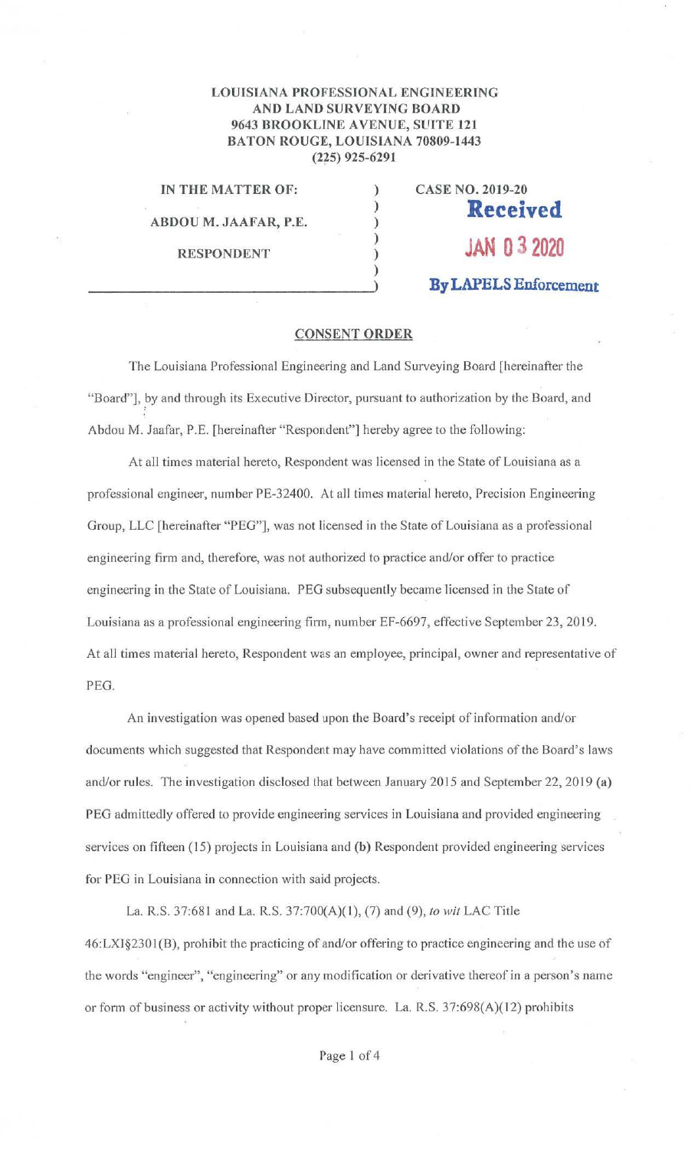## **LOUISIANA PROFESSIONAL ENGINEERfNG AND LAND SURVEYING BOARD 9643 BROOKLINE AVENUE, SUITE 121 BATON ROUGE, LOUISIANA 70809-1443 (225) 925-6291**

) ) ) ) ) )

**IN THE MATTER OF:** 

**ABDOU M. JAAFAR, P.E.** 

**RESPONDENT** 

**CASE NO. 2019-20 Received JAN O** *3* **<sup>2020</sup> By LAPELS Enforcement** 

## **CONSENT ORDER**

The Louisiana Professional Engineering and Land Surveying Board [hereinafter the "Board"], by and through its Executive Director, pursuant to authorization by the Board, and Abdou M. Jaafar, P.E. [hereinafter "Respondent"] hereby agree to the following:

At all times material hereto, Respondent was licensed in the State of Louisiana as a professional engineer, number PE-32400. At all times material hereto, Precision Engineering Group, LLC [hereinafter "PEG"], was not licensed in the State of Louisiana as a professional engineering firm and, therefore, was not authorized to practice and/or offer to practice engineering in the State of Louisiana. PEG subsequently became licensed in the State of Louisiana as a professional engineering finn, number EF-6697, effective September 23, 2019. At all times material hereto, Respondent was an employee, principal, owner and representative of PEG.

An investigation was opened based upon the Board's receipt of information and/or documents which suggested that Respondent may have committed violations of the Board's laws and/or rules. The investigation disclosed that between January 2015 and September 22, 2019 **(a)**  PEG admittedly offered to provide engineering services in Louisiana and provided engineering services on fifteen ( 15) projects in Louisiana and **(b)** Respondent provided engineering services for PEG in Louisiana in connection with said projects.

La. R.S. 37:681 and La. R.S. 37:700(A)(l ), (7) and (9), *to wit* LAC Title 46:LXI§2301 (B), prohibit the practicing of and/or offering to practice engineering and the use of the words "engineer", "engineering" or any modification or derivative thereof in a person's name or form of business or activity without proper licensure. La. R.S. 37:698(A)(12) prohibits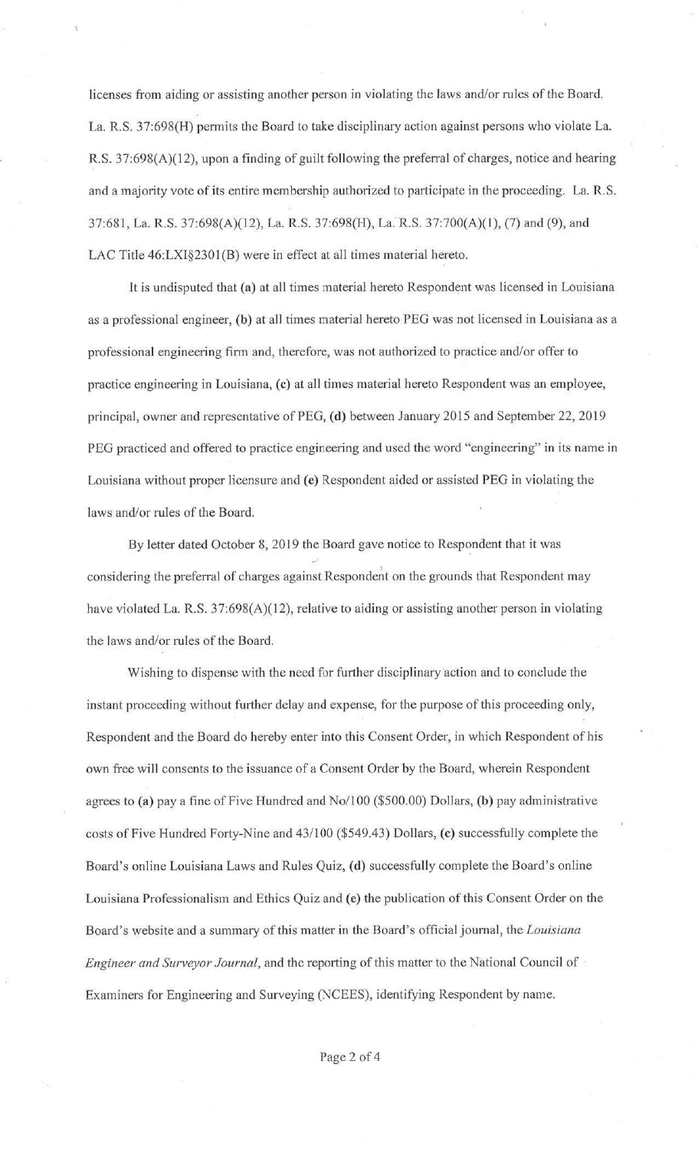licenses from aiding or assisting another person in violating the laws and/or rules of the Board. La. R.S. 37:698(H) permits the Board to take disciplinary action against persons who violate La. R.S. 37:698(A)(12), upon a finding of guilt following the preferral of charges, notice and hearing and a majority vote of its entire membership authorized to participate in the proceeding. La. R.S. 37:681, La. R.S. 37:698(A)(l2), La. R.S. 37:698(H), La. R.S. 37:700(A)(l ), (7) and (9), and LAC Title 46:LXI§2301(B) were in effect at all times material hereto.

It is undisputed that (a) at all times material hereto Respondent was licensed in Louisiana as a professional engineer, (b) at all times material hereto PEG was not licensed in Louisiana as a professional engineering firm and, therefore, was not authorized to practice and/or offer to practice engineering in Louisiana, (c) at all times material hereto Respondent was an employee, principal, owner and representative of PEG, **(d)** between January 2015 and September 22, 2019 PEG practiced and offered to practice engineering and used the word "engineering" in its name in Louisiana without proper licensure and (e) Respondent aided or assisted PEG in violating the laws and/or rules of the Board.

By letter dated October 8, 2019 the Board gave notice to Respondent that it was considering the preferral of charges against Respondent on the grounds that Respondent may have violated La. R.S. 37:698(A)(12), relative to aiding or assisting another person in violating the laws and/or rules of the Board.

Wishing to dispense with the need for further disciplinary action and to conclude the instant proceeding without further delay and expense, for the purpose of this proceeding only, Respondent and the Board do hereby enter into this Consent Order, in which Respondent of his own free will consents to the issuance of a Consent Order by the Board, wherein Respondent agrees to **(a)** pay a fine of Five Hundred and No/100 (\$500.00) Dollars, **(b)** pay administrative costs of Five Hundred Forty-Nine and 43/100 (\$549.43) Dollars, **(c)** successfully complete the Board's online Louisiana Laws and Rules Quiz, **(d)** successfully complete the Board's online Louisiana Professionalism and Ethics Quiz and **(e)** the publication of this Consent Order on the Board's website and a summary of this matter in the Board's official journal, the *Louisiana Engineer and Surveyor Journal,* and the reporting of this matter to the National Council of Examiners for Engineering and Surveying (NCEES), identifying Respondent by name.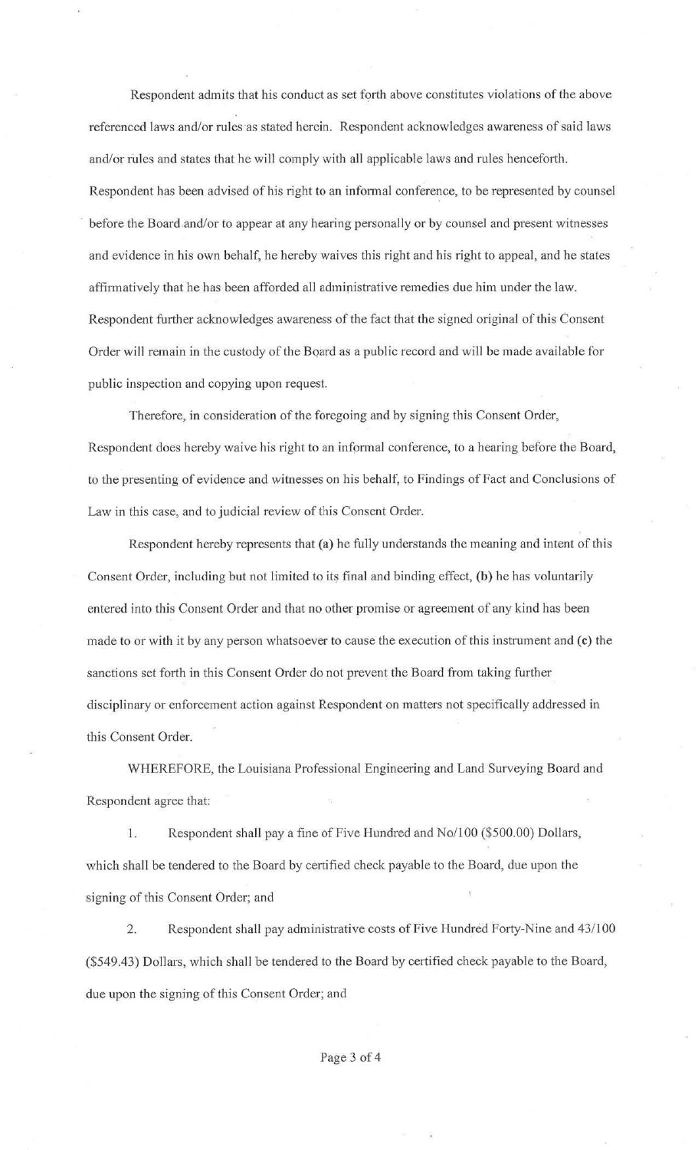Respondent admits that his conduct as set forth above constitutes violations of the above referenced laws.and/or rules as stated herein. Respondent acknowledges awareness of said laws and/or rules and states that he will comply with all applicable laws and rules henceforth. Respondent has been advised of his right to an informal conference, to be represented by counsel before the Board and/or to appear at any hearing personally or by counsel and present witnesses and evidence in his own behalf, he hereby waives this right and his right to appeal, and he states affirmatively that he has been afforded all administrative remedies due him under the law. Respondent further acknowledges awareness of the fact that the signed original of this Consent Order will remain in the custody of the Board as a public record and will be made available for public inspection and copying upon request.

Therefore, in consideration of the foregoing and by signing this Consent Order, Respondent does hereby waive his right to an informal conference, to a hearing before the Board, to the presenting of evidence and witnesses on his behalf, to Findings of Fact and Conclusions of Law in this case, and to judicial review of this Consent Order.

Respondent hereby represents that **(a)** he fully understands the meaning and intent of this Consent Order, including but not limited to its final and binding effect, **(b)** he has voluntarily entered into this Consent Order and that no other promise or agreement of any kind has been made to or with it by any person whatsoever to cause the execution of this instrument and (c) the sanctions set forth in this Consent Order do not prevent the Board from taking further disciplinary or enforcement action against Respondent on matters not specificaily addressed in this Consent Order.

WHEREFORE, the Louisiana Professional Engineering and Land Surveying Board and Respondent agree that:

1. Respondent shall pay a fine of Five Hundred and No/100 (\$500.00) Dollars, which shall be tendered to the Board by certified check payable to the Board, due upon the signing of this Consent Order; and

2. Respondent shall pay administrative costs of Five Hundred Forty-Nine and 43/100 (\$549.43) Do11ars, which shall be tendered to the Board by certified check payable to the Board, due upon the signing of this Consent Order; and